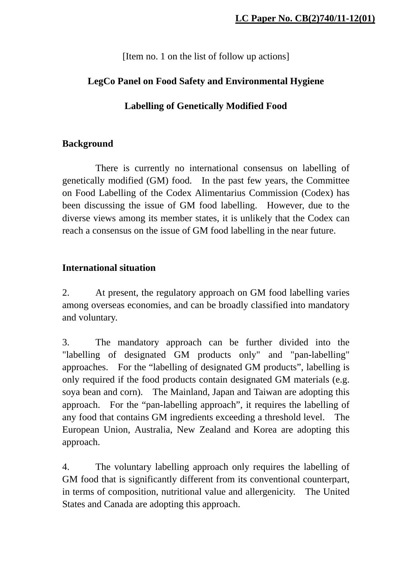[Item no. 1 on the list of follow up actions]

## **LegCo Panel on Food Safety and Environmental Hygiene**

# **Labelling of Genetically Modified Food**

## **Background**

 There is currently no international consensus on labelling of genetically modified (GM) food. In the past few years, the Committee on Food Labelling of the Codex Alimentarius Commission (Codex) has been discussing the issue of GM food labelling. However, due to the diverse views among its member states, it is unlikely that the Codex can reach a consensus on the issue of GM food labelling in the near future.

## **International situation**

2. At present, the regulatory approach on GM food labelling varies among overseas economies, and can be broadly classified into mandatory and voluntary.

3. The mandatory approach can be further divided into the "labelling of designated GM products only" and "pan-labelling" approaches. For the "labelling of designated GM products", labelling is only required if the food products contain designated GM materials (e.g. soya bean and corn). The Mainland, Japan and Taiwan are adopting this approach. For the "pan-labelling approach", it requires the labelling of any food that contains GM ingredients exceeding a threshold level. The European Union, Australia, New Zealand and Korea are adopting this approach.

4. The voluntary labelling approach only requires the labelling of GM food that is significantly different from its conventional counterpart, in terms of composition, nutritional value and allergenicity. The United States and Canada are adopting this approach.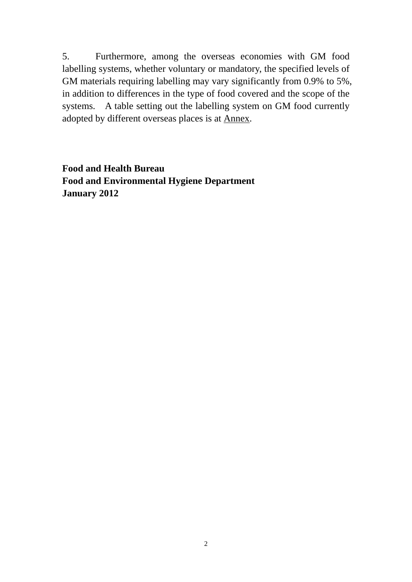5. Furthermore, among the overseas economies with GM food labelling systems, whether voluntary or mandatory, the specified levels of GM materials requiring labelling may vary significantly from 0.9% to 5%, in addition to differences in the type of food covered and the scope of the systems. A table setting out the labelling system on GM food currently adopted by different overseas places is at Annex.

**Food and Health Bureau Food and Environmental Hygiene Department January 2012**